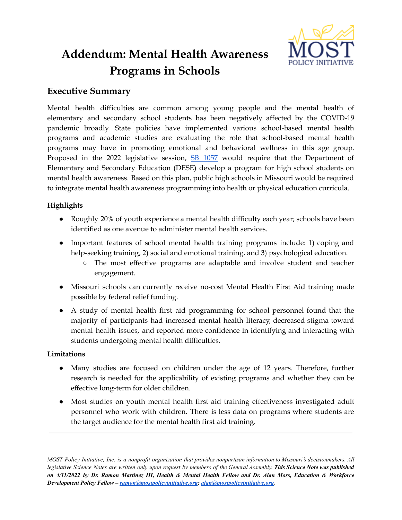

# **Addendum: Mental Health Awareness Programs in Schools**

# **Executive Summary**

Mental health difficulties are common among young people and the mental health of elementary and secondary school students has been negatively affected by the COVID-19 pandemic broadly. State policies have implemented various school-based mental health programs and academic studies are evaluating the role that school-based mental health programs may have in promoting emotional and behavioral wellness in this age group. Proposed in the 2022 legislative session,  $SB$  [1057](https://www.senate.mo.gov/22info/BTS_Web/Bill.aspx?SessionType=R&BillID=73129358) would require that the Department of Elementary and Secondary Education (DESE) develop a program for high school students on mental health awareness. Based on this plan, public high schools in Missouri would be required to integrate mental health awareness programming into health or physical education curricula.

## **Highlights**

- Roughly 20% of youth experience a mental health difficulty each year; schools have been identified as one avenue to administer mental health services.
- Important features of school mental health training programs include: 1) coping and help-seeking training, 2) social and emotional training, and 3) psychological education.
	- The most effective programs are adaptable and involve student and teacher engagement.
- Missouri schools can currently receive no-cost Mental Health First Aid training made possible by federal relief funding.
- A study of mental health first aid programming for school personnel found that the majority of participants had increased mental health literacy, decreased stigma toward mental health issues, and reported more confidence in identifying and interacting with students undergoing mental health difficulties.

## **Limitations**

- Many studies are focused on children under the age of 12 years. Therefore, further research is needed for the applicability of existing programs and whether they can be effective long-term for older children.
- Most studies on youth mental health first aid training effectiveness investigated adult personnel who work with children. There is less data on programs where students are the target audience for the mental health first aid training.

MOST Policy Initiative, Inc. is a nonprofit organization that provides nonpartisan information to Missouri's decisionmakers. All legislative Science Notes are written only upon request by members of the General Assembly. This Science Note was published on 4/11/2022 by Dr. Ramon Martinez III, Health & Mental Health Fellow and Dr. Alan Moss, Education & Workforce *Development Policy Fellow – [ramon@mostpolicyinitiative.org](mailto:ramon@mostpolicyinitiative.org); [alan@mostpolicyinitiative.org](mailto:alan@mostpolicyinitiative.org).*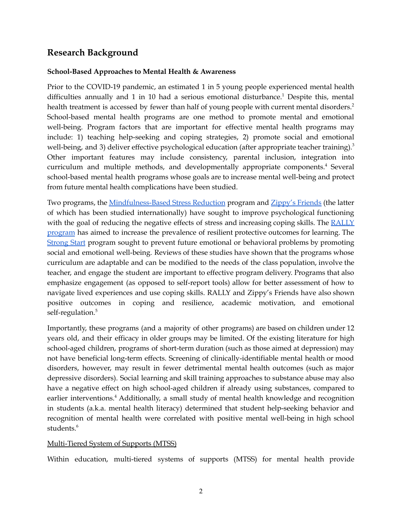# **Research Background**

#### **School-Based Approaches to Mental Health & Awareness**

Prior to the COVID-19 pandemic, an estimated 1 in 5 young people experienced mental health difficulties annually and 1 in 10 had a serious emotional disturbance.<sup>1</sup> Despite this, mental health treatment is accessed by fewer than half of young people with current mental disorders.<sup>2</sup> School-based mental health programs are one method to promote mental and emotional well-being. Program factors that are important for effective mental health programs may include: 1) teaching help-seeking and coping strategies, 2) promote social and emotional well-being, and 3) deliver effective psychological education (after appropriate teacher training).<sup>3</sup> Other important features may include consistency, parental inclusion, integration into curriculum and multiple methods, and developmentally appropriate components. <sup>4</sup> Several school-based mental health programs whose goals are to increase mental well-being and protect from future mental health complications have been studied.

Two programs, the [Mindfulness-Based](https://www.ummhealth.org/umass-memorial-medical-center/services-treatments/center-for-mindfulness/mindfulness-programs/mbsr-8-week-online-live) Stress Reduction program and [Zippy's](https://www.partnershipforchildren.org.uk/what-we-do/programmes-for-schools/zippys-friends.html) Friends (the latter of which has been studied internationally) have sought to improve psychological functioning with the goal of reducing the negative effects of stress and increasing coping skills. The  $RALLY$ [program](https://archive.globalfrp.org/evaluation/the-evaluation-exchange/issue-archive/current-issue-scaling-impact/the-rally-program-scaling-an-inclusive-approach-to-intervention-and-prevention) has aimed to increase the prevalence of resilient protective outcomes for learning. The [Strong](https://strongkidsresources.com/) Start program sought to prevent future emotional or behavioral problems by promoting social and emotional well-being. Reviews of these studies have shown that the programs whose curriculum are adaptable and can be modified to the needs of the class population, involve the teacher, and engage the student are important to effective program delivery. Programs that also emphasize engagement (as opposed to self-report tools) allow for better assessment of how to navigate lived experiences and use coping skills. RALLY and Zippy's Friends have also shown positive outcomes in coping and resilience, academic motivation, and emotional self-regulation. 5

Importantly, these programs (and a majority of other programs) are based on children under 12 years old, and their efficacy in older groups may be limited. Of the existing literature for high school-aged children, programs of short-term duration (such as those aimed at depression) may not have beneficial long-term effects. Screening of clinically-identifiable mental health or mood disorders, however, may result in fewer detrimental mental health outcomes (such as major depressive disorders). Social learning and skill training approaches to substance abuse may also have a negative effect on high school-aged children if already using substances, compared to earlier interventions.<sup>4</sup> Additionally, a small study of mental health knowledge and recognition in students (a.k.a. mental health literacy) determined that student help-seeking behavior and recognition of mental health were correlated with positive mental well-being in high school students. 6

## Multi-Tiered System of Supports (MTSS)

Within education, multi-tiered systems of supports (MTSS) for mental health provide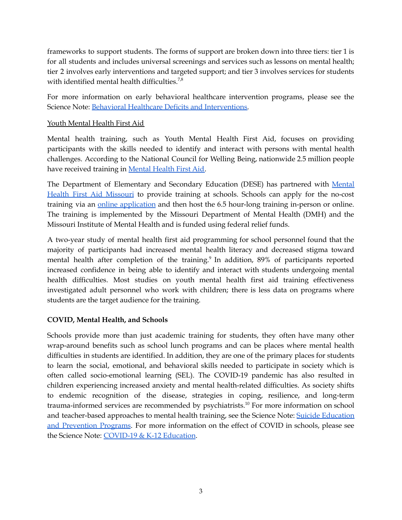frameworks to support students. The forms of support are broken down into three tiers: tier 1 is for all students and includes universal screenings and services such as lessons on mental health; tier 2 involves early interventions and targeted support; and tier 3 involves services for students with identified mental health difficulties.<sup>7,8</sup>

For more information on early behavioral healthcare intervention programs, please see the Science Note: Behavioral Healthcare Deficits and [Interventions.](https://mostpolicyinitiative.org/science-note/behavioral-healthcare-deficits-interventions/)

#### Youth Mental Health First Aid

Mental health training, such as Youth Mental Health First Aid, focuses on providing participants with the skills needed to identify and interact with persons with mental health challenges. According to the National Council for Welling Being, nationwide 2.5 million people have received training in [Mental](https://www.mentalhealthfirstaid.org/about/) Health First Aid.

The Department of Elementary and Secondary Education (DESE) has partnered with [Mental](http://mhfamissouri.org/) Health First Aid [Missouri](http://mhfamissouri.org/) to provide training at schools. Schools can apply for the no-cost training via an online [application](http://mhfamissouri.org/dese-application/) and then host the 6.5 hour-long training in-person or online. The training is implemented by the Missouri Department of Mental Health (DMH) and the Missouri Institute of Mental Health and is funded using federal relief funds.

A two-year study of mental health first aid programming for school personnel found that the majority of participants had increased mental health literacy and decreased stigma toward mental health after completion of the training.<sup>9</sup> In addition, 89% of participants reported increased confidence in being able to identify and interact with students undergoing mental health difficulties. Most studies on youth mental health first aid training effectiveness investigated adult personnel who work with children; there is less data on programs where students are the target audience for the training.

#### **COVID, Mental Health, and Schools**

Schools provide more than just academic training for students, they often have many other wrap-around benefits such as school lunch programs and can be places where mental health difficulties in students are identified. In addition, they are one of the primary places for students to learn the social, emotional, and behavioral skills needed to participate in society which is often called socio-emotional learning (SEL). The COVID-19 pandemic has also resulted in children experiencing increased anxiety and mental health-related difficulties. As society shifts to endemic recognition of the disease, strategies in coping, resilience, and long-term trauma-informed services are recommended by psychiatrists. <sup>10</sup> For more information on school and teacher-based approaches to mental health training, see the Science Note: Suicide [Education](https://mostpolicyinitiative.org/science-note/suicide-education-prevention-programs/) and [Prevention](https://mostpolicyinitiative.org/science-note/suicide-education-prevention-programs/) Programs. For more information on the effect of COVID in schools, please see the Science Note: [COVID-19](https://mostpolicyinitiative.org/science-note/covid-19-education/) & K-12 Education.